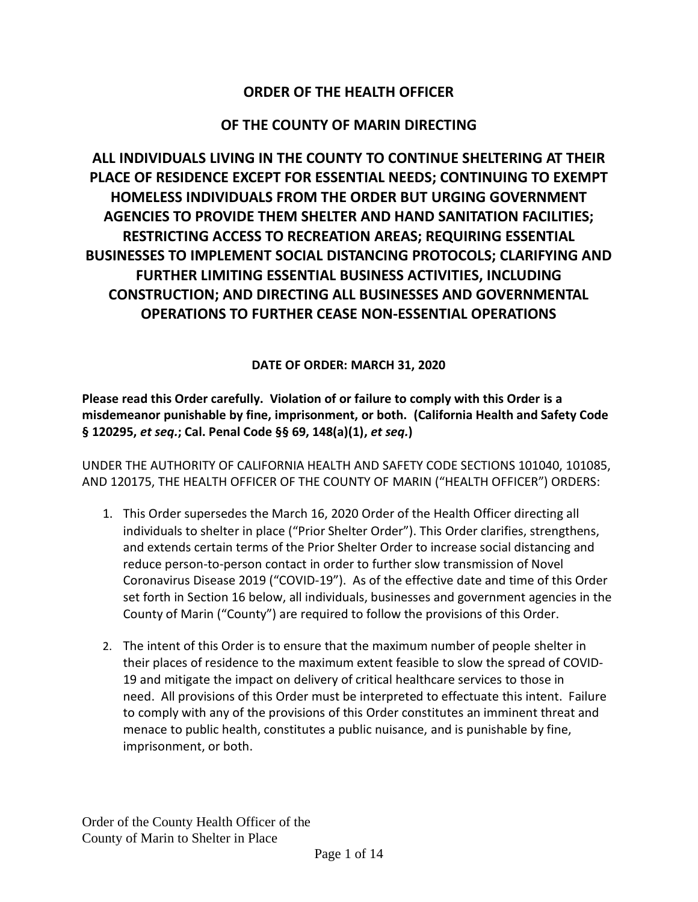## **ORDER OF THE HEALTH OFFICER**

## **OF THE COUNTY OF MARIN DIRECTING**

**ALL INDIVIDUALS LIVING IN THE COUNTY TO CONTINUE SHELTERING AT THEIR PLACE OF RESIDENCE EXCEPT FOR ESSENTIAL NEEDS; CONTINUING TO EXEMPT HOMELESS INDIVIDUALS FROM THE ORDER BUT URGING GOVERNMENT AGENCIES TO PROVIDE THEM SHELTER AND HAND SANITATION FACILITIES; RESTRICTING ACCESS TO RECREATION AREAS; REQUIRING ESSENTIAL BUSINESSES TO IMPLEMENT SOCIAL DISTANCING PROTOCOLS; CLARIFYING AND FURTHER LIMITING ESSENTIAL BUSINESS ACTIVITIES, INCLUDING CONSTRUCTION; AND DIRECTING ALL BUSINESSES AND GOVERNMENTAL OPERATIONS TO FURTHER CEASE NON-ESSENTIAL OPERATIONS** 

**DATE OF ORDER: MARCH 31, 2020**

**Please read this Order carefully. Violation of or failure to comply with this Order is a misdemeanor punishable by fine, imprisonment, or both. (California Health and Safety Code § 120295,** *et seq.***; Cal. Penal Code §§ 69, 148(a)(1),** *et seq.***)**

UNDER THE AUTHORITY OF CALIFORNIA HEALTH AND SAFETY CODE SECTIONS 101040, 101085, AND 120175, THE HEALTH OFFICER OF THE COUNTY OF MARIN ("HEALTH OFFICER") ORDERS:

- 1. This Order supersedes the March 16, 2020 Order of the Health Officer directing all individuals to shelter in place ("Prior Shelter Order"). This Order clarifies, strengthens, and extends certain terms of the Prior Shelter Order to increase social distancing and reduce person-to-person contact in order to further slow transmission of Novel Coronavirus Disease 2019 ("COVID-19"). As of the effective date and time of this Order set forth in Section 16 below, all individuals, businesses and government agencies in the County of Marin ("County") are required to follow the provisions of this Order.
- 2. The intent of this Order is to ensure that the maximum number of people shelter in their places of residence to the maximum extent feasible to slow the spread of COVID-19 and mitigate the impact on delivery of critical healthcare services to those in need. All provisions of this Order must be interpreted to effectuate this intent. Failure to comply with any of the provisions of this Order constitutes an imminent threat and menace to public health, constitutes a public nuisance, and is punishable by fine, imprisonment, or both.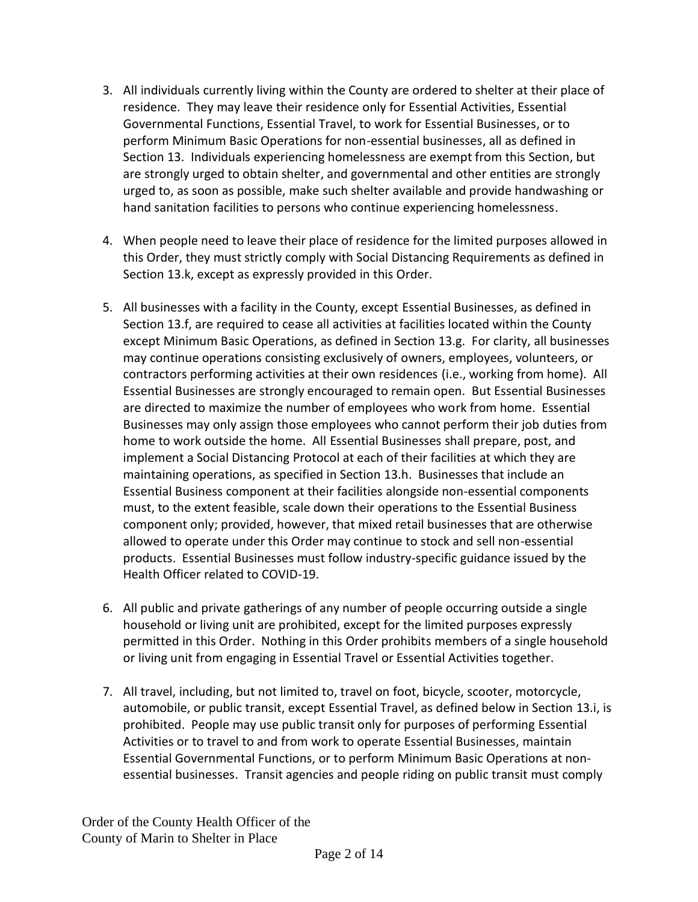- 3. All individuals currently living within the County are ordered to shelter at their place of residence. They may leave their residence only for Essential Activities, Essential Governmental Functions, Essential Travel, to work for Essential Businesses, or to perform Minimum Basic Operations for non-essential businesses, all as defined in Section 13. Individuals experiencing homelessness are exempt from this Section, but are strongly urged to obtain shelter, and governmental and other entities are strongly urged to, as soon as possible, make such shelter available and provide handwashing or hand sanitation facilities to persons who continue experiencing homelessness.
- 4. When people need to leave their place of residence for the limited purposes allowed in this Order, they must strictly comply with Social Distancing Requirements as defined in Section 13.k, except as expressly provided in this Order.
- 5. All businesses with a facility in the County, except Essential Businesses, as defined in Section 13.f, are required to cease all activities at facilities located within the County except Minimum Basic Operations, as defined in Section 13.g. For clarity, all businesses may continue operations consisting exclusively of owners, employees, volunteers, or contractors performing activities at their own residences (i.e., working from home). All Essential Businesses are strongly encouraged to remain open. But Essential Businesses are directed to maximize the number of employees who work from home. Essential Businesses may only assign those employees who cannot perform their job duties from home to work outside the home. All Essential Businesses shall prepare, post, and implement a Social Distancing Protocol at each of their facilities at which they are maintaining operations, as specified in Section 13.h. Businesses that include an Essential Business component at their facilities alongside non-essential components must, to the extent feasible, scale down their operations to the Essential Business component only; provided, however, that mixed retail businesses that are otherwise allowed to operate under this Order may continue to stock and sell non-essential products. Essential Businesses must follow industry-specific guidance issued by the Health Officer related to COVID-19.
- 6. All public and private gatherings of any number of people occurring outside a single household or living unit are prohibited, except for the limited purposes expressly permitted in this Order. Nothing in this Order prohibits members of a single household or living unit from engaging in Essential Travel or Essential Activities together.
- 7. All travel, including, but not limited to, travel on foot, bicycle, scooter, motorcycle, automobile, or public transit, except Essential Travel, as defined below in Section 13.i, is prohibited. People may use public transit only for purposes of performing Essential Activities or to travel to and from work to operate Essential Businesses, maintain Essential Governmental Functions, or to perform Minimum Basic Operations at nonessential businesses. Transit agencies and people riding on public transit must comply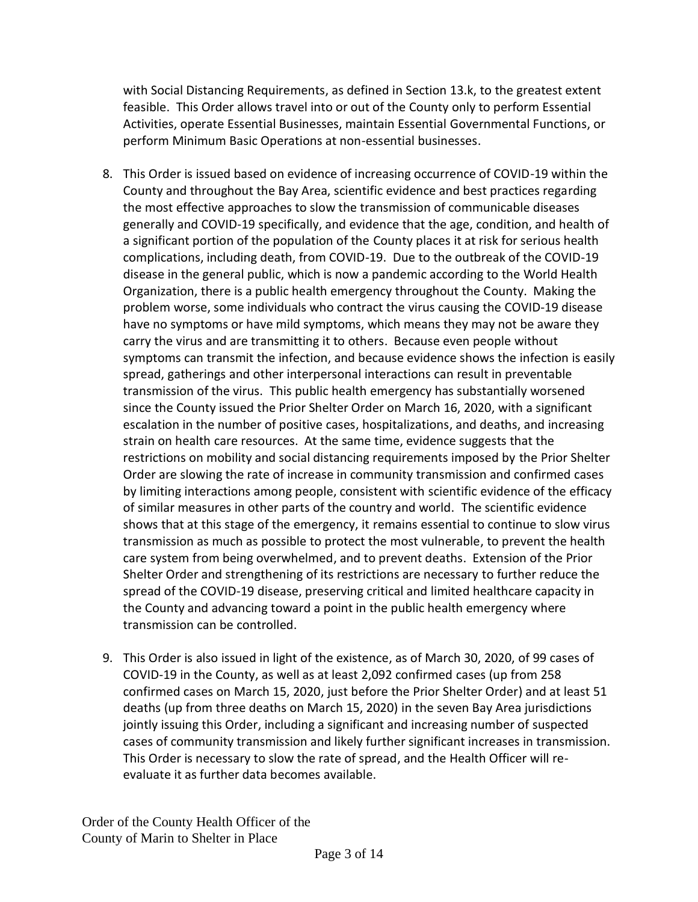with Social Distancing Requirements, as defined in Section 13.k, to the greatest extent feasible. This Order allows travel into or out of the County only to perform Essential Activities, operate Essential Businesses, maintain Essential Governmental Functions, or perform Minimum Basic Operations at non-essential businesses.

- 8. This Order is issued based on evidence of increasing occurrence of COVID-19 within the County and throughout the Bay Area, scientific evidence and best practices regarding the most effective approaches to slow the transmission of communicable diseases generally and COVID-19 specifically, and evidence that the age, condition, and health of a significant portion of the population of the County places it at risk for serious health complications, including death, from COVID-19. Due to the outbreak of the COVID-19 disease in the general public, which is now a pandemic according to the World Health Organization, there is a public health emergency throughout the County. Making the problem worse, some individuals who contract the virus causing the COVID-19 disease have no symptoms or have mild symptoms, which means they may not be aware they carry the virus and are transmitting it to others. Because even people without symptoms can transmit the infection, and because evidence shows the infection is easily spread, gatherings and other interpersonal interactions can result in preventable transmission of the virus. This public health emergency has substantially worsened since the County issued the Prior Shelter Order on March 16, 2020, with a significant escalation in the number of positive cases, hospitalizations, and deaths, and increasing strain on health care resources. At the same time, evidence suggests that the restrictions on mobility and social distancing requirements imposed by the Prior Shelter Order are slowing the rate of increase in community transmission and confirmed cases by limiting interactions among people, consistent with scientific evidence of the efficacy of similar measures in other parts of the country and world. The scientific evidence shows that at this stage of the emergency, it remains essential to continue to slow virus transmission as much as possible to protect the most vulnerable, to prevent the health care system from being overwhelmed, and to prevent deaths. Extension of the Prior Shelter Order and strengthening of its restrictions are necessary to further reduce the spread of the COVID-19 disease, preserving critical and limited healthcare capacity in the County and advancing toward a point in the public health emergency where transmission can be controlled.
- 9. This Order is also issued in light of the existence, as of March 30, 2020, of 99 cases of COVID-19 in the County, as well as at least 2,092 confirmed cases (up from 258 confirmed cases on March 15, 2020, just before the Prior Shelter Order) and at least 51 deaths (up from three deaths on March 15, 2020) in the seven Bay Area jurisdictions jointly issuing this Order, including a significant and increasing number of suspected cases of community transmission and likely further significant increases in transmission. This Order is necessary to slow the rate of spread, and the Health Officer will reevaluate it as further data becomes available.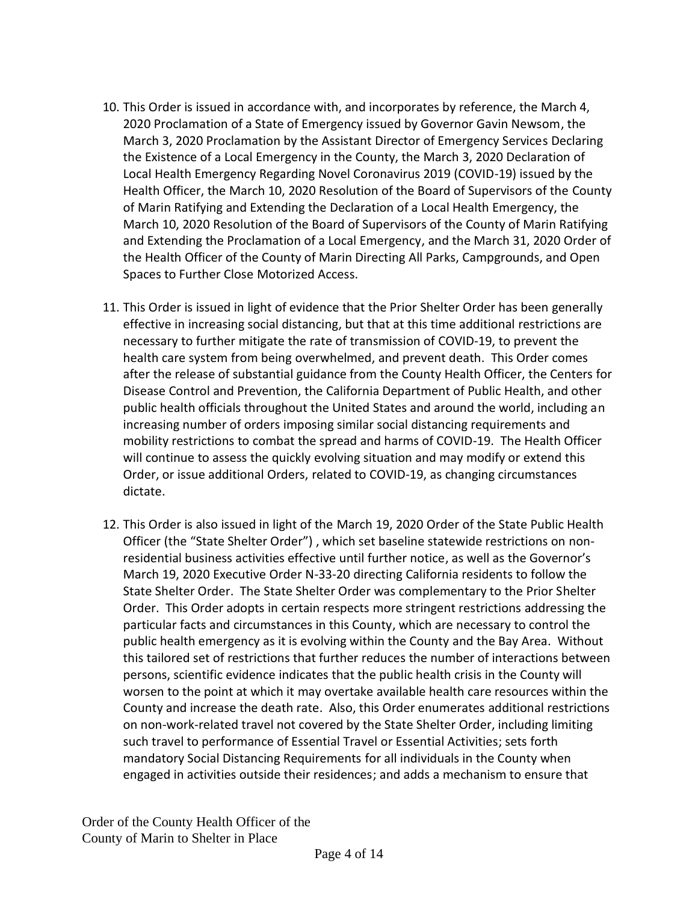- 10. This Order is issued in accordance with, and incorporates by reference, the March 4, 2020 Proclamation of a State of Emergency issued by Governor Gavin Newsom, the March 3, 2020 Proclamation by the Assistant Director of Emergency Services Declaring the Existence of a Local Emergency in the County, the March 3, 2020 Declaration of Local Health Emergency Regarding Novel Coronavirus 2019 (COVID-19) issued by the Health Officer, the March 10, 2020 Resolution of the Board of Supervisors of the County of Marin Ratifying and Extending the Declaration of a Local Health Emergency, the March 10, 2020 Resolution of the Board of Supervisors of the County of Marin Ratifying and Extending the Proclamation of a Local Emergency, and the March 31, 2020 Order of the Health Officer of the County of Marin Directing All Parks, Campgrounds, and Open Spaces to Further Close Motorized Access.
- 11. This Order is issued in light of evidence that the Prior Shelter Order has been generally effective in increasing social distancing, but that at this time additional restrictions are necessary to further mitigate the rate of transmission of COVID-19, to prevent the health care system from being overwhelmed, and prevent death. This Order comes after the release of substantial guidance from the County Health Officer, the Centers for Disease Control and Prevention, the California Department of Public Health, and other public health officials throughout the United States and around the world, including an increasing number of orders imposing similar social distancing requirements and mobility restrictions to combat the spread and harms of COVID-19. The Health Officer will continue to assess the quickly evolving situation and may modify or extend this Order, or issue additional Orders, related to COVID-19, as changing circumstances dictate.
- 12. This Order is also issued in light of the March 19, 2020 Order of the State Public Health Officer (the "State Shelter Order") , which set baseline statewide restrictions on nonresidential business activities effective until further notice, as well as the Governor's March 19, 2020 Executive Order N-33-20 directing California residents to follow the State Shelter Order. The State Shelter Order was complementary to the Prior Shelter Order. This Order adopts in certain respects more stringent restrictions addressing the particular facts and circumstances in this County, which are necessary to control the public health emergency as it is evolving within the County and the Bay Area. Without this tailored set of restrictions that further reduces the number of interactions between persons, scientific evidence indicates that the public health crisis in the County will worsen to the point at which it may overtake available health care resources within the County and increase the death rate. Also, this Order enumerates additional restrictions on non-work-related travel not covered by the State Shelter Order, including limiting such travel to performance of Essential Travel or Essential Activities; sets forth mandatory Social Distancing Requirements for all individuals in the County when engaged in activities outside their residences; and adds a mechanism to ensure that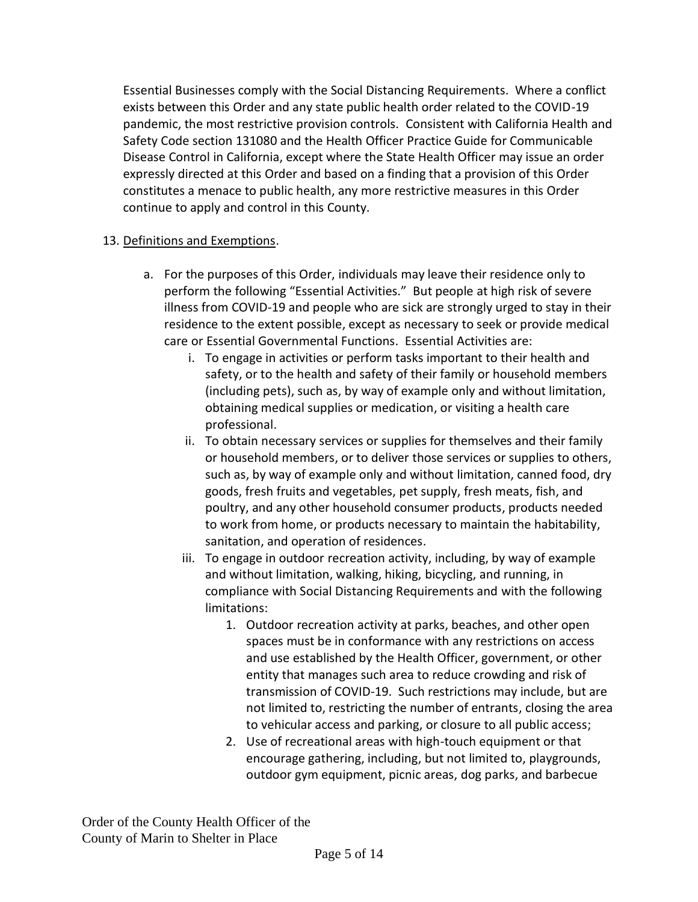Essential Businesses comply with the Social Distancing Requirements. Where a conflict exists between this Order and any state public health order related to the COVID-19 pandemic, the most restrictive provision controls. Consistent with California Health and Safety Code section 131080 and the Health Officer Practice Guide for Communicable Disease Control in California, except where the State Health Officer may issue an order expressly directed at this Order and based on a finding that a provision of this Order constitutes a menace to public health, any more restrictive measures in this Order continue to apply and control in this County.

## 13. Definitions and Exemptions.

- a. For the purposes of this Order, individuals may leave their residence only to perform the following "Essential Activities." But people at high risk of severe illness from COVID-19 and people who are sick are strongly urged to stay in their residence to the extent possible, except as necessary to seek or provide medical care or Essential Governmental Functions. Essential Activities are:
	- i. To engage in activities or perform tasks important to their health and safety, or to the health and safety of their family or household members (including pets), such as, by way of example only and without limitation, obtaining medical supplies or medication, or visiting a health care professional.
	- ii. To obtain necessary services or supplies for themselves and their family or household members, or to deliver those services or supplies to others, such as, by way of example only and without limitation, canned food, dry goods, fresh fruits and vegetables, pet supply, fresh meats, fish, and poultry, and any other household consumer products, products needed to work from home, or products necessary to maintain the habitability, sanitation, and operation of residences.
	- iii. To engage in outdoor recreation activity, including, by way of example and without limitation, walking, hiking, bicycling, and running, in compliance with Social Distancing Requirements and with the following limitations:
		- 1. Outdoor recreation activity at parks, beaches, and other open spaces must be in conformance with any restrictions on access and use established by the Health Officer, government, or other entity that manages such area to reduce crowding and risk of transmission of COVID-19. Such restrictions may include, but are not limited to, restricting the number of entrants, closing the area to vehicular access and parking, or closure to all public access;
		- 2. Use of recreational areas with high-touch equipment or that encourage gathering, including, but not limited to, playgrounds, outdoor gym equipment, picnic areas, dog parks, and barbecue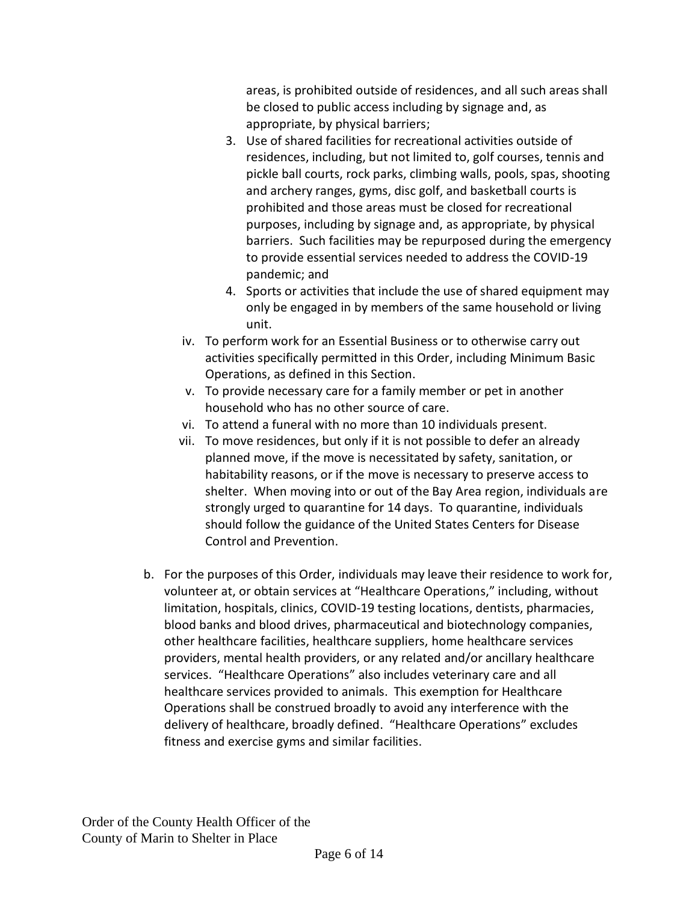areas, is prohibited outside of residences, and all such areas shall be closed to public access including by signage and, as appropriate, by physical barriers;

- 3. Use of shared facilities for recreational activities outside of residences, including, but not limited to, golf courses, tennis and pickle ball courts, rock parks, climbing walls, pools, spas, shooting and archery ranges, gyms, disc golf, and basketball courts is prohibited and those areas must be closed for recreational purposes, including by signage and, as appropriate, by physical barriers. Such facilities may be repurposed during the emergency to provide essential services needed to address the COVID-19 pandemic; and
- 4. Sports or activities that include the use of shared equipment may only be engaged in by members of the same household or living unit.
- iv. To perform work for an Essential Business or to otherwise carry out activities specifically permitted in this Order, including Minimum Basic Operations, as defined in this Section.
- v. To provide necessary care for a family member or pet in another household who has no other source of care.
- vi. To attend a funeral with no more than 10 individuals present.
- vii. To move residences, but only if it is not possible to defer an already planned move, if the move is necessitated by safety, sanitation, or habitability reasons, or if the move is necessary to preserve access to shelter. When moving into or out of the Bay Area region, individuals are strongly urged to quarantine for 14 days. To quarantine, individuals should follow the guidance of the United States Centers for Disease Control and Prevention.
- b. For the purposes of this Order, individuals may leave their residence to work for, volunteer at, or obtain services at "Healthcare Operations," including, without limitation, hospitals, clinics, COVID-19 testing locations, dentists, pharmacies, blood banks and blood drives, pharmaceutical and biotechnology companies, other healthcare facilities, healthcare suppliers, home healthcare services providers, mental health providers, or any related and/or ancillary healthcare services. "Healthcare Operations" also includes veterinary care and all healthcare services provided to animals. This exemption for Healthcare Operations shall be construed broadly to avoid any interference with the delivery of healthcare, broadly defined. "Healthcare Operations" excludes fitness and exercise gyms and similar facilities.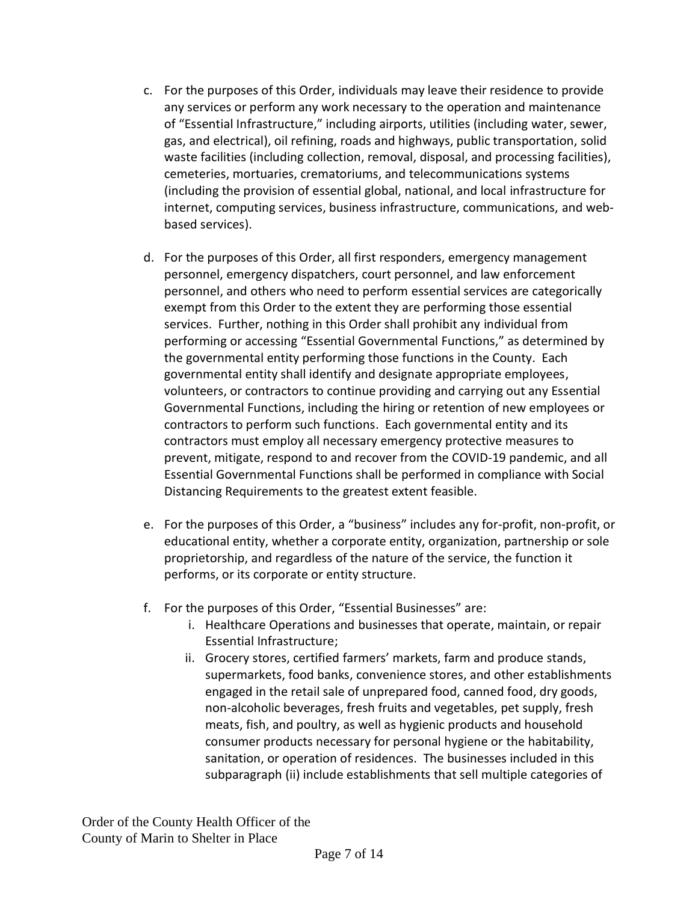- c. For the purposes of this Order, individuals may leave their residence to provide any services or perform any work necessary to the operation and maintenance of "Essential Infrastructure," including airports, utilities (including water, sewer, gas, and electrical), oil refining, roads and highways, public transportation, solid waste facilities (including collection, removal, disposal, and processing facilities), cemeteries, mortuaries, crematoriums, and telecommunications systems (including the provision of essential global, national, and local infrastructure for internet, computing services, business infrastructure, communications, and webbased services).
- d. For the purposes of this Order, all first responders, emergency management personnel, emergency dispatchers, court personnel, and law enforcement personnel, and others who need to perform essential services are categorically exempt from this Order to the extent they are performing those essential services. Further, nothing in this Order shall prohibit any individual from performing or accessing "Essential Governmental Functions," as determined by the governmental entity performing those functions in the County. Each governmental entity shall identify and designate appropriate employees, volunteers, or contractors to continue providing and carrying out any Essential Governmental Functions, including the hiring or retention of new employees or contractors to perform such functions. Each governmental entity and its contractors must employ all necessary emergency protective measures to prevent, mitigate, respond to and recover from the COVID-19 pandemic, and all Essential Governmental Functions shall be performed in compliance with Social Distancing Requirements to the greatest extent feasible.
- e. For the purposes of this Order, a "business" includes any for-profit, non-profit, or educational entity, whether a corporate entity, organization, partnership or sole proprietorship, and regardless of the nature of the service, the function it performs, or its corporate or entity structure.
- f. For the purposes of this Order, "Essential Businesses" are:
	- i. Healthcare Operations and businesses that operate, maintain, or repair Essential Infrastructure;
	- ii. Grocery stores, certified farmers' markets, farm and produce stands, supermarkets, food banks, convenience stores, and other establishments engaged in the retail sale of unprepared food, canned food, dry goods, non-alcoholic beverages, fresh fruits and vegetables, pet supply, fresh meats, fish, and poultry, as well as hygienic products and household consumer products necessary for personal hygiene or the habitability, sanitation, or operation of residences. The businesses included in this subparagraph (ii) include establishments that sell multiple categories of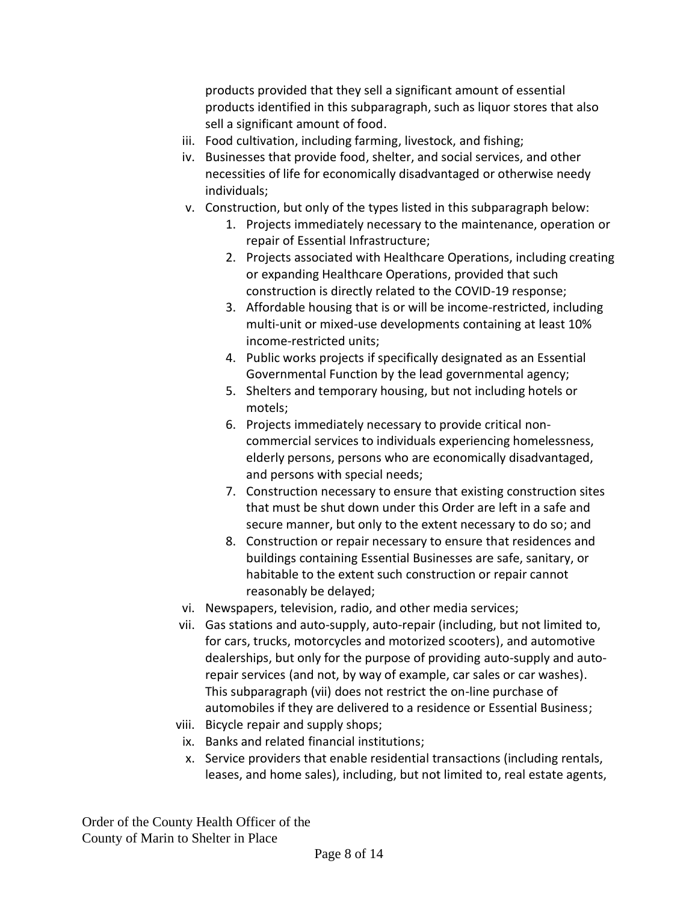products provided that they sell a significant amount of essential products identified in this subparagraph, such as liquor stores that also sell a significant amount of food.

- iii. Food cultivation, including farming, livestock, and fishing;
- iv. Businesses that provide food, shelter, and social services, and other necessities of life for economically disadvantaged or otherwise needy individuals;
- v. Construction, but only of the types listed in this subparagraph below:
	- 1. Projects immediately necessary to the maintenance, operation or repair of Essential Infrastructure;
	- 2. Projects associated with Healthcare Operations, including creating or expanding Healthcare Operations, provided that such construction is directly related to the COVID-19 response;
	- 3. Affordable housing that is or will be income-restricted, including multi-unit or mixed-use developments containing at least 10% income-restricted units;
	- 4. Public works projects if specifically designated as an Essential Governmental Function by the lead governmental agency;
	- 5. Shelters and temporary housing, but not including hotels or motels;
	- 6. Projects immediately necessary to provide critical noncommercial services to individuals experiencing homelessness, elderly persons, persons who are economically disadvantaged, and persons with special needs;
	- 7. Construction necessary to ensure that existing construction sites that must be shut down under this Order are left in a safe and secure manner, but only to the extent necessary to do so; and
	- 8. Construction or repair necessary to ensure that residences and buildings containing Essential Businesses are safe, sanitary, or habitable to the extent such construction or repair cannot reasonably be delayed;
- vi. Newspapers, television, radio, and other media services;
- vii. Gas stations and auto-supply, auto-repair (including, but not limited to, for cars, trucks, motorcycles and motorized scooters), and automotive dealerships, but only for the purpose of providing auto-supply and autorepair services (and not, by way of example, car sales or car washes). This subparagraph (vii) does not restrict the on-line purchase of automobiles if they are delivered to a residence or Essential Business;
- viii. Bicycle repair and supply shops;
- ix. Banks and related financial institutions;
- x. Service providers that enable residential transactions (including rentals, leases, and home sales), including, but not limited to, real estate agents,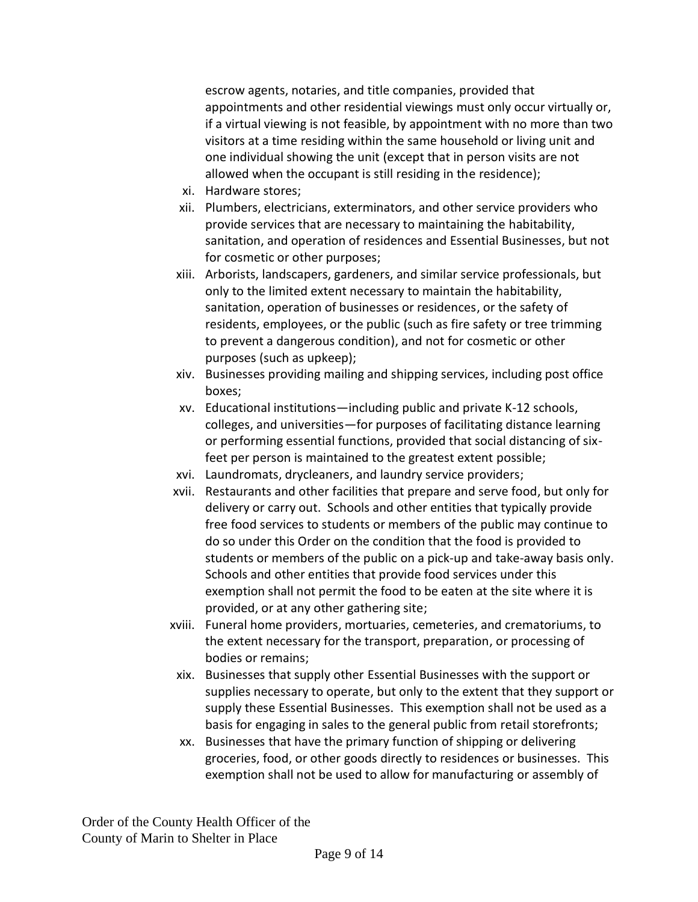escrow agents, notaries, and title companies, provided that appointments and other residential viewings must only occur virtually or, if a virtual viewing is not feasible, by appointment with no more than two visitors at a time residing within the same household or living unit and one individual showing the unit (except that in person visits are not allowed when the occupant is still residing in the residence);

- xi. Hardware stores;
- xii. Plumbers, electricians, exterminators, and other service providers who provide services that are necessary to maintaining the habitability, sanitation, and operation of residences and Essential Businesses, but not for cosmetic or other purposes;
- xiii. Arborists, landscapers, gardeners, and similar service professionals, but only to the limited extent necessary to maintain the habitability, sanitation, operation of businesses or residences, or the safety of residents, employees, or the public (such as fire safety or tree trimming to prevent a dangerous condition), and not for cosmetic or other purposes (such as upkeep);
- xiv. Businesses providing mailing and shipping services, including post office boxes;
- xv. Educational institutions—including public and private K-12 schools, colleges, and universities—for purposes of facilitating distance learning or performing essential functions, provided that social distancing of sixfeet per person is maintained to the greatest extent possible;
- xvi. Laundromats, drycleaners, and laundry service providers;
- xvii. Restaurants and other facilities that prepare and serve food, but only for delivery or carry out. Schools and other entities that typically provide free food services to students or members of the public may continue to do so under this Order on the condition that the food is provided to students or members of the public on a pick-up and take-away basis only. Schools and other entities that provide food services under this exemption shall not permit the food to be eaten at the site where it is provided, or at any other gathering site;
- xviii. Funeral home providers, mortuaries, cemeteries, and crematoriums, to the extent necessary for the transport, preparation, or processing of bodies or remains;
- xix. Businesses that supply other Essential Businesses with the support or supplies necessary to operate, but only to the extent that they support or supply these Essential Businesses. This exemption shall not be used as a basis for engaging in sales to the general public from retail storefronts;
- xx. Businesses that have the primary function of shipping or delivering groceries, food, or other goods directly to residences or businesses. This exemption shall not be used to allow for manufacturing or assembly of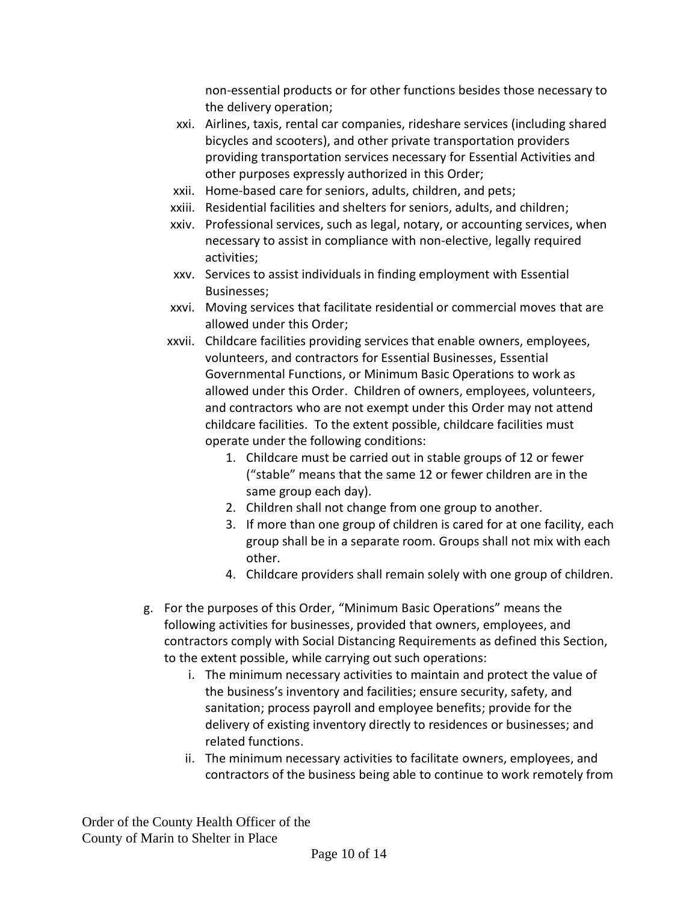non-essential products or for other functions besides those necessary to the delivery operation;

- xxi. Airlines, taxis, rental car companies, rideshare services (including shared bicycles and scooters), and other private transportation providers providing transportation services necessary for Essential Activities and other purposes expressly authorized in this Order;
- xxii. Home-based care for seniors, adults, children, and pets;
- xxiii. Residential facilities and shelters for seniors, adults, and children;
- xxiv. Professional services, such as legal, notary, or accounting services, when necessary to assist in compliance with non-elective, legally required activities;
- xxv. Services to assist individuals in finding employment with Essential Businesses;
- xxvi. Moving services that facilitate residential or commercial moves that are allowed under this Order;
- xxvii. Childcare facilities providing services that enable owners, employees, volunteers, and contractors for Essential Businesses, Essential Governmental Functions, or Minimum Basic Operations to work as allowed under this Order. Children of owners, employees, volunteers, and contractors who are not exempt under this Order may not attend childcare facilities. To the extent possible, childcare facilities must operate under the following conditions:
	- 1. Childcare must be carried out in stable groups of 12 or fewer ("stable" means that the same 12 or fewer children are in the same group each day).
	- 2. Children shall not change from one group to another.
	- 3. If more than one group of children is cared for at one facility, each group shall be in a separate room. Groups shall not mix with each other.
	- 4. Childcare providers shall remain solely with one group of children.
- g. For the purposes of this Order, "Minimum Basic Operations" means the following activities for businesses, provided that owners, employees, and contractors comply with Social Distancing Requirements as defined this Section, to the extent possible, while carrying out such operations:
	- i. The minimum necessary activities to maintain and protect the value of the business's inventory and facilities; ensure security, safety, and sanitation; process payroll and employee benefits; provide for the delivery of existing inventory directly to residences or businesses; and related functions.
	- ii. The minimum necessary activities to facilitate owners, employees, and contractors of the business being able to continue to work remotely from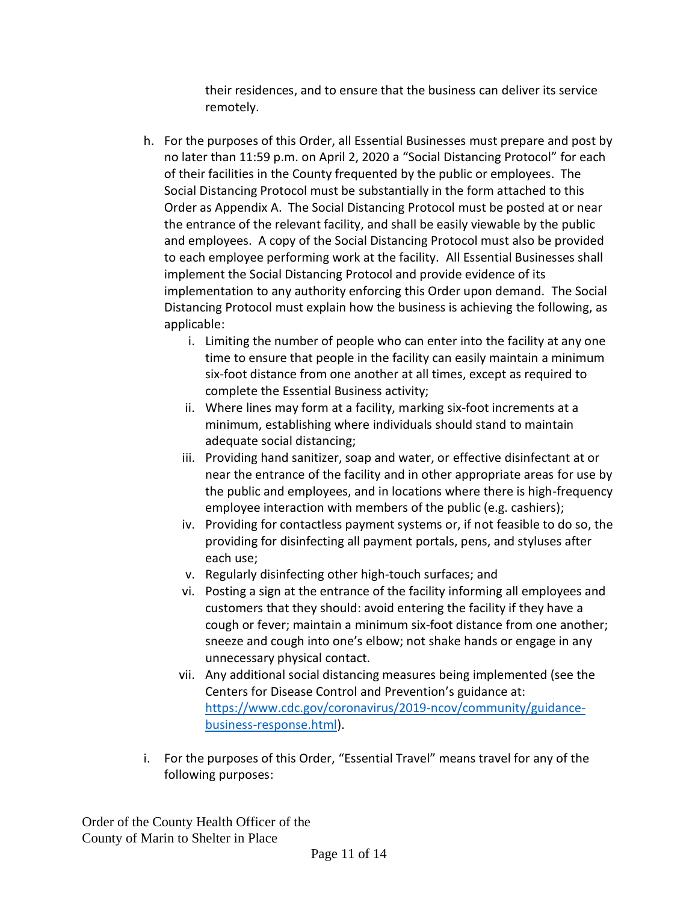their residences, and to ensure that the business can deliver its service remotely.

- h. For the purposes of this Order, all Essential Businesses must prepare and post by no later than 11:59 p.m. on April 2, 2020 a "Social Distancing Protocol" for each of their facilities in the County frequented by the public or employees. The Social Distancing Protocol must be substantially in the form attached to this Order as Appendix A. The Social Distancing Protocol must be posted at or near the entrance of the relevant facility, and shall be easily viewable by the public and employees. A copy of the Social Distancing Protocol must also be provided to each employee performing work at the facility. All Essential Businesses shall implement the Social Distancing Protocol and provide evidence of its implementation to any authority enforcing this Order upon demand. The Social Distancing Protocol must explain how the business is achieving the following, as applicable:
	- i. Limiting the number of people who can enter into the facility at any one time to ensure that people in the facility can easily maintain a minimum six-foot distance from one another at all times, except as required to complete the Essential Business activity;
	- ii. Where lines may form at a facility, marking six-foot increments at a minimum, establishing where individuals should stand to maintain adequate social distancing;
	- iii. Providing hand sanitizer, soap and water, or effective disinfectant at or near the entrance of the facility and in other appropriate areas for use by the public and employees, and in locations where there is high-frequency employee interaction with members of the public (e.g. cashiers);
	- iv. Providing for contactless payment systems or, if not feasible to do so, the providing for disinfecting all payment portals, pens, and styluses after each use;
	- v. Regularly disinfecting other high-touch surfaces; and
	- vi. Posting a sign at the entrance of the facility informing all employees and customers that they should: avoid entering the facility if they have a cough or fever; maintain a minimum six-foot distance from one another; sneeze and cough into one's elbow; not shake hands or engage in any unnecessary physical contact.
	- vii. Any additional social distancing measures being implemented (see the Centers for Disease Control and Prevention's guidance at: [https://www.cdc.gov/coronavirus/2019-ncov/community/guidance](https://urldefense.proofpoint.com/v2/url?u=https-3A__www.cdc.gov_coronavirus_2019-2Dncov_community_guidance-2Dbusiness-2Dresponse.html&d=DwMFAw&c=jIuf2QGe13CVwCCNhnnHSyGX0TfHadH8sr2VwRkl7n8&r=ngkLopuMRZUOqEIlIlHX3zVLl4AZMj7V3rWqAE9UGqQ&m=Qer8m3QWIWOVAJdc_vNH--0HKkNvhAMe3lrb0WmOdBI&s=DyfmdZVnfn5xjeIVMnDZJxkHd-kHAhoUnoNIl0WHytw&e=)[business-response.html\)](https://urldefense.proofpoint.com/v2/url?u=https-3A__www.cdc.gov_coronavirus_2019-2Dncov_community_guidance-2Dbusiness-2Dresponse.html&d=DwMFAw&c=jIuf2QGe13CVwCCNhnnHSyGX0TfHadH8sr2VwRkl7n8&r=ngkLopuMRZUOqEIlIlHX3zVLl4AZMj7V3rWqAE9UGqQ&m=Qer8m3QWIWOVAJdc_vNH--0HKkNvhAMe3lrb0WmOdBI&s=DyfmdZVnfn5xjeIVMnDZJxkHd-kHAhoUnoNIl0WHytw&e=).
- i. For the purposes of this Order, "Essential Travel" means travel for any of the following purposes: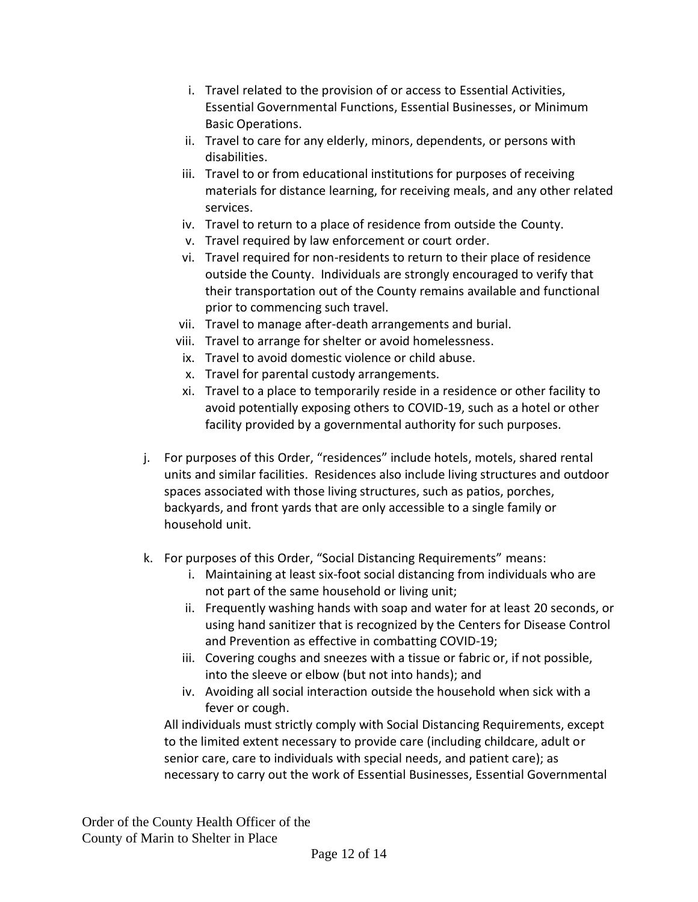- i. Travel related to the provision of or access to Essential Activities, Essential Governmental Functions, Essential Businesses, or Minimum Basic Operations.
- ii. Travel to care for any elderly, minors, dependents, or persons with disabilities.
- iii. Travel to or from educational institutions for purposes of receiving materials for distance learning, for receiving meals, and any other related services.
- iv. Travel to return to a place of residence from outside the County.
- v. Travel required by law enforcement or court order.
- vi. Travel required for non-residents to return to their place of residence outside the County. Individuals are strongly encouraged to verify that their transportation out of the County remains available and functional prior to commencing such travel.
- vii. Travel to manage after-death arrangements and burial.
- viii. Travel to arrange for shelter or avoid homelessness.
- ix. Travel to avoid domestic violence or child abuse.
- x. Travel for parental custody arrangements.
- xi. Travel to a place to temporarily reside in a residence or other facility to avoid potentially exposing others to COVID-19, such as a hotel or other facility provided by a governmental authority for such purposes.
- j. For purposes of this Order, "residences" include hotels, motels, shared rental units and similar facilities. Residences also include living structures and outdoor spaces associated with those living structures, such as patios, porches, backyards, and front yards that are only accessible to a single family or household unit.
- k. For purposes of this Order, "Social Distancing Requirements" means:
	- i. Maintaining at least six-foot social distancing from individuals who are not part of the same household or living unit;
	- ii. Frequently washing hands with soap and water for at least 20 seconds, or using hand sanitizer that is recognized by the Centers for Disease Control and Prevention as effective in combatting COVID-19;
	- iii. Covering coughs and sneezes with a tissue or fabric or, if not possible, into the sleeve or elbow (but not into hands); and
	- iv. Avoiding all social interaction outside the household when sick with a fever or cough.

All individuals must strictly comply with Social Distancing Requirements, except to the limited extent necessary to provide care (including childcare, adult or senior care, care to individuals with special needs, and patient care); as necessary to carry out the work of Essential Businesses, Essential Governmental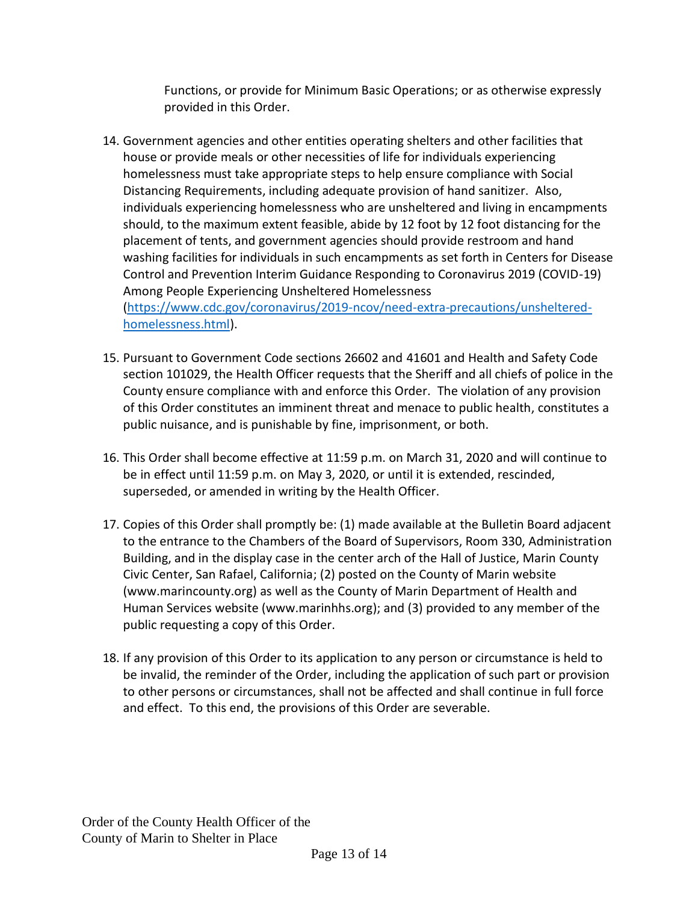Functions, or provide for Minimum Basic Operations; or as otherwise expressly provided in this Order.

- 14. Government agencies and other entities operating shelters and other facilities that house or provide meals or other necessities of life for individuals experiencing homelessness must take appropriate steps to help ensure compliance with Social Distancing Requirements, including adequate provision of hand sanitizer. Also, individuals experiencing homelessness who are unsheltered and living in encampments should, to the maximum extent feasible, abide by 12 foot by 12 foot distancing for the placement of tents, and government agencies should provide restroom and hand washing facilities for individuals in such encampments as set forth in Centers for Disease Control and Prevention Interim Guidance Responding to Coronavirus 2019 (COVID-19) Among People Experiencing Unsheltered Homelessness [\(https://www.cdc.gov/coronavirus/2019-ncov/need-extra-precautions/unsheltered](https://www.cdc.gov/coronavirus/2019-ncov/need-extra-precautions/unsheltered-homelessness.html)[homelessness.html\)](https://www.cdc.gov/coronavirus/2019-ncov/need-extra-precautions/unsheltered-homelessness.html).
- 15. Pursuant to Government Code sections 26602 and 41601 and Health and Safety Code section 101029, the Health Officer requests that the Sheriff and all chiefs of police in the County ensure compliance with and enforce this Order. The violation of any provision of this Order constitutes an imminent threat and menace to public health, constitutes a public nuisance, and is punishable by fine, imprisonment, or both.
- 16. This Order shall become effective at 11:59 p.m. on March 31, 2020 and will continue to be in effect until 11:59 p.m. on May 3, 2020, or until it is extended, rescinded, superseded, or amended in writing by the Health Officer.
- 17. Copies of this Order shall promptly be: (1) made available at the Bulletin Board adjacent to the entrance to the Chambers of the Board of Supervisors, Room 330, Administration Building, and in the display case in the center arch of the Hall of Justice, Marin County Civic Center, San Rafael, California; (2) posted on the County of Marin website [\(www.marincounty.org\)](http://www.marincounty.org/) as well as the County of Marin Department of Health and Human Services website [\(www.marinhhs.org\)](http://www.marinhhs.org/); and (3) provided to any member of the public requesting a copy of this Order.
- 18. If any provision of this Order to its application to any person or circumstance is held to be invalid, the reminder of the Order, including the application of such part or provision to other persons or circumstances, shall not be affected and shall continue in full force and effect. To this end, the provisions of this Order are severable.